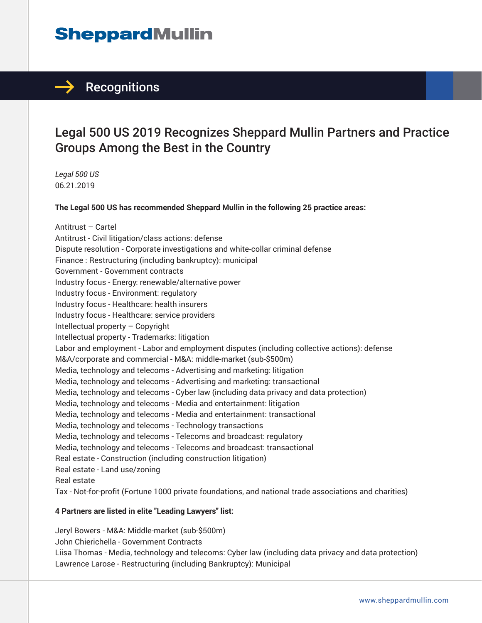### $\rightarrow$  Recognitions

### Legal 500 US 2019 Recognizes Sheppard Mullin Partners and Practice Groups Among the Best in the Country

*Legal 500 US* 06.21.2019

**The Legal 500 US has recommended Sheppard Mullin in the following 25 practice areas:**

Antitrust – Cartel Antitrust - Civil litigation/class actions: defense Dispute resolution - Corporate investigations and white-collar criminal defense Finance : Restructuring (including bankruptcy): municipal Government - Government contracts Industry focus - Energy: renewable/alternative power Industry focus - Environment: regulatory Industry focus - Healthcare: health insurers Industry focus - Healthcare: service providers Intellectual property – Copyright Intellectual property - Trademarks: litigation Labor and employment - Labor and employment disputes (including collective actions): defense M&A/corporate and commercial - M&A: middle-market (sub-\$500m) Media, technology and telecoms - Advertising and marketing: litigation Media, technology and telecoms - Advertising and marketing: transactional Media, technology and telecoms - Cyber law (including data privacy and data protection) Media, technology and telecoms - Media and entertainment: litigation Media, technology and telecoms - Media and entertainment: transactional Media, technology and telecoms - Technology transactions Media, technology and telecoms - Telecoms and broadcast: regulatory Media, technology and telecoms - Telecoms and broadcast: transactional Real estate - Construction (including construction litigation) Real estate - Land use/zoning Real estate Tax - Not-for-profit (Fortune 1000 private foundations, and national trade associations and charities)

#### **4 Partners are listed in elite "Leading Lawyers" list:**

Jeryl Bowers - M&A: Middle-market (sub-\$500m) John Chierichella - Government Contracts Liisa Thomas - Media, technology and telecoms: Cyber law (including data privacy and data protection) Lawrence Larose - Restructuring (including Bankruptcy): Municipal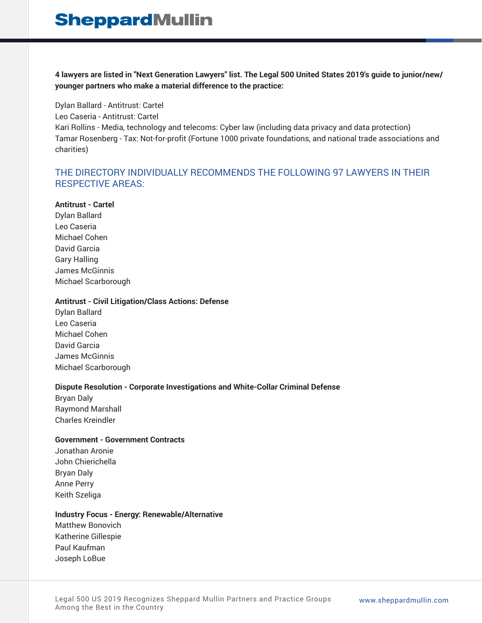**4 lawyers are listed in "Next Generation Lawyers" list. The Legal 500 United States 2019's guide to junior/new/ younger partners who make a material difference to the practice:**

Dylan Ballard - Antitrust: Cartel Leo Caseria - Antitrust: Cartel Kari Rollins - Media, technology and telecoms: Cyber law (including data privacy and data protection) Tamar Rosenberg - Tax: Not-for-profit (Fortune 1000 private foundations, and national trade associations and charities)

#### THE DIRECTORY INDIVIDUALLY RECOMMENDS THE FOLLOWING 97 LAWYERS IN THEIR RESPECTIVE AREAS:

#### **Antitrust - Cartel**

Dylan Ballard Leo Caseria Michael Cohen David Garcia Gary Halling James McGinnis Michael Scarborough

#### **Antitrust - Civil Litigation/Class Actions: Defense**

Dylan Ballard Leo Caseria Michael Cohen David Garcia James McGinnis Michael Scarborough

#### **Dispute Resolution - Corporate Investigations and White-Collar Criminal Defense**

Bryan Daly Raymond Marshall Charles Kreindler

#### **Government - Government Contracts**

Jonathan Aronie John Chierichella Bryan Daly Anne Perry Keith Szeliga

#### **Industry Focus - Energy: Renewable/Alternative**

Matthew Bonovich Katherine Gillespie Paul Kaufman Joseph LoBue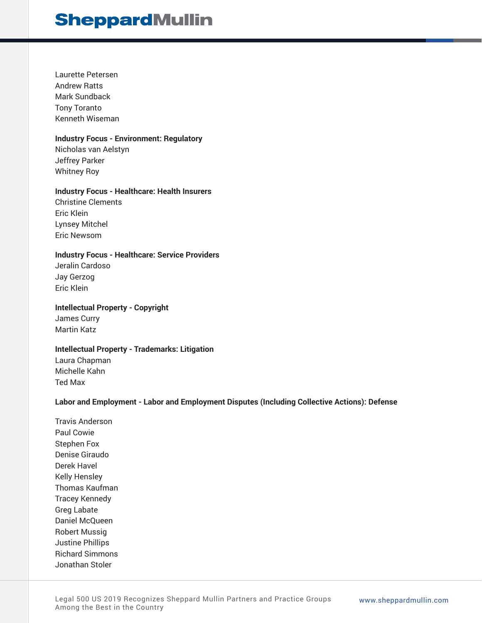Laurette Petersen Andrew Ratts Mark Sundback Tony Toranto Kenneth Wiseman

#### **Industry Focus - Environment: Regulatory**

Nicholas van Aelstyn Jeffrey Parker Whitney Roy

#### **Industry Focus - Healthcare: Health Insurers**

Christine Clements Eric Klein Lynsey Mitchel Eric Newsom

#### **Industry Focus - Healthcare: Service Providers**

Jeralin Cardoso Jay Gerzog Eric Klein

#### **Intellectual Property - Copyright**

James Curry Martin Katz

#### **Intellectual Property - Trademarks: Litigation**

Laura Chapman Michelle Kahn Ted Max

#### **Labor and Employment - Labor and Employment Disputes (Including Collective Actions): Defense**

Travis Anderson Paul Cowie Stephen Fox Denise Giraudo Derek Havel Kelly Hensley Thomas Kaufman Tracey Kennedy Greg Labate Daniel McQueen Robert Mussig Justine Phillips Richard Simmons Jonathan Stoler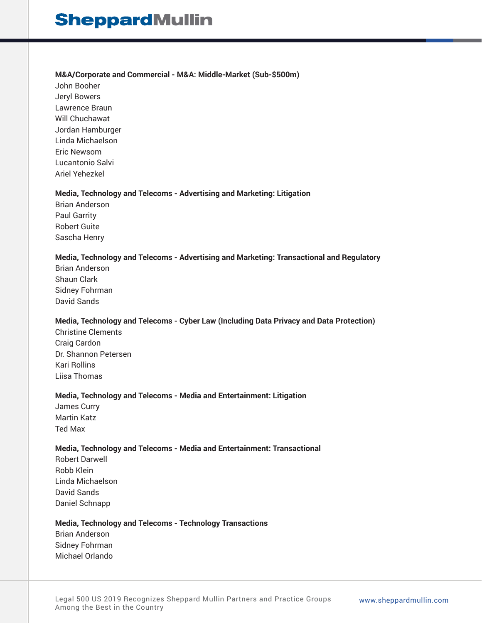#### **M&A/Corporate and Commercial - M&A: Middle-Market (Sub-\$500m)**

John Booher Jeryl Bowers Lawrence Braun Will Chuchawat Jordan Hamburger Linda Michaelson Eric Newsom Lucantonio Salvi Ariel Yehezkel

#### **Media, Technology and Telecoms - Advertising and Marketing: Litigation**

Brian Anderson Paul Garrity Robert Guite Sascha Henry

#### **Media, Technology and Telecoms - Advertising and Marketing: Transactional and Regulatory**

Brian Anderson Shaun Clark Sidney Fohrman David Sands

#### **Media, Technology and Telecoms - Cyber Law (Including Data Privacy and Data Protection)**

Christine Clements Craig Cardon Dr. Shannon Petersen Kari Rollins Liisa Thomas

#### **Media, Technology and Telecoms - Media and Entertainment: Litigation**

James Curry Martin Katz Ted Max

#### **Media, Technology and Telecoms - Media and Entertainment: Transactional**

Robert Darwell Robb Klein Linda Michaelson David Sands Daniel Schnapp

#### **Media, Technology and Telecoms - Technology Transactions**

Brian Anderson Sidney Fohrman Michael Orlando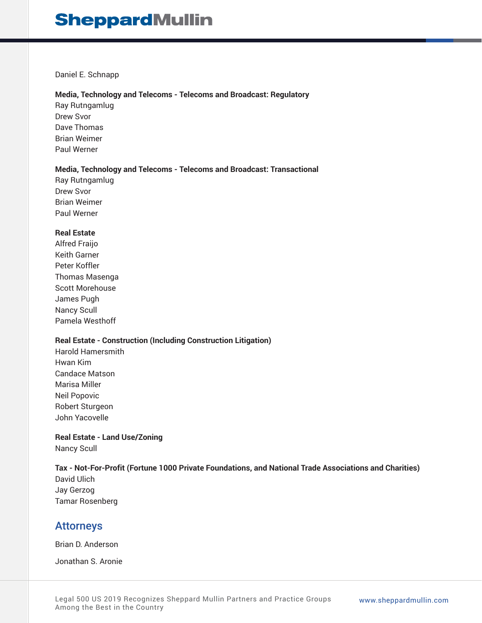#### Daniel E. Schnapp

#### **Media, Technology and Telecoms - Telecoms and Broadcast: Regulatory**

Ray Rutngamlug Drew Svor Dave Thomas Brian Weimer Paul Werner

#### **Media, Technology and Telecoms - Telecoms and Broadcast: Transactional**

Ray Rutngamlug Drew Svor Brian Weimer Paul Werner

#### **Real Estate**

Alfred Fraijo Keith Garner Peter Koffler Thomas Masenga Scott Morehouse James Pugh Nancy Scull Pamela Westhoff

#### **Real Estate - Construction (Including Construction Litigation)**

Harold Hamersmith Hwan Kim Candace Matson Marisa Miller Neil Popovic Robert Sturgeon John Yacovelle

#### **Real Estate - Land Use/Zoning** Nancy Scull

#### **Tax - Not-For-Profit (Fortune 1000 Private Foundations, and National Trade Associations and Charities)**

David Ulich Jay Gerzog Tamar Rosenberg

### Attorneys

Brian D. Anderson

Jonathan S. Aronie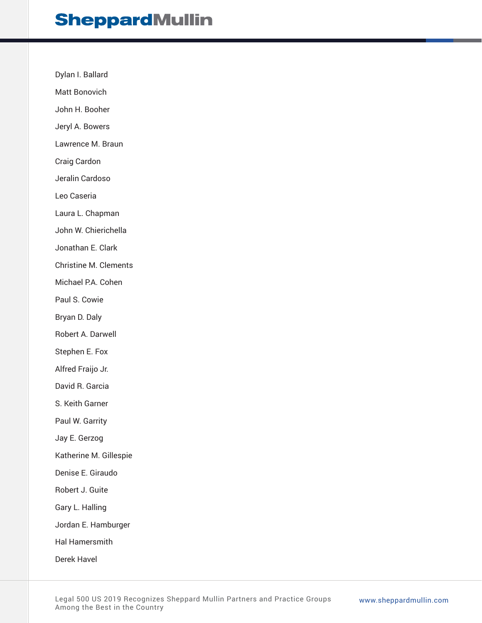Dylan I. Ballard

Matt Bonovich

John H. Booher

Jeryl A. Bowers

Lawrence M. Braun

Craig Cardon

Jeralin Cardoso

Leo Caseria

Laura L. Chapman

John W. Chierichella

Jonathan E. Clark

Christine M. Clements

Michael P.A. Cohen

Paul S. Cowie

Bryan D. Daly

Robert A. Darwell

Stephen E. Fox

Alfred Fraijo Jr.

David R. Garcia

S. Keith Garner

Paul W. Garrity

Jay E. Gerzog

Katherine M. Gillespie

Denise E. Giraudo

Robert J. Guite

Gary L. Halling

Jordan E. Hamburger

Hal Hamersmith

Derek Havel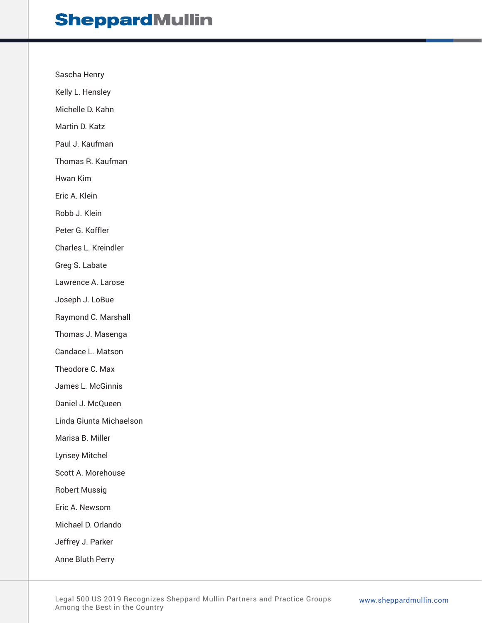Sascha Henry Kelly L. Hensley Michelle D. Kahn Martin D. Katz Paul J. Kaufman Thomas R. Kaufman Hwan Kim Eric A. Klein Robb J. Klein Peter G. Koffler Charles L. Kreindler Greg S. Labate Lawrence A. Larose Joseph J. LoBue Raymond C. Marshall Thomas J. Masenga Candace L. Matson Theodore C. Max James L. McGinnis Daniel J. McQueen Linda Giunta Michaelson Marisa B. Miller Lynsey Mitchel Scott A. Morehouse Robert Mussig Eric A. Newsom Michael D. Orlando Jeffrey J. Parker Anne Bluth Perry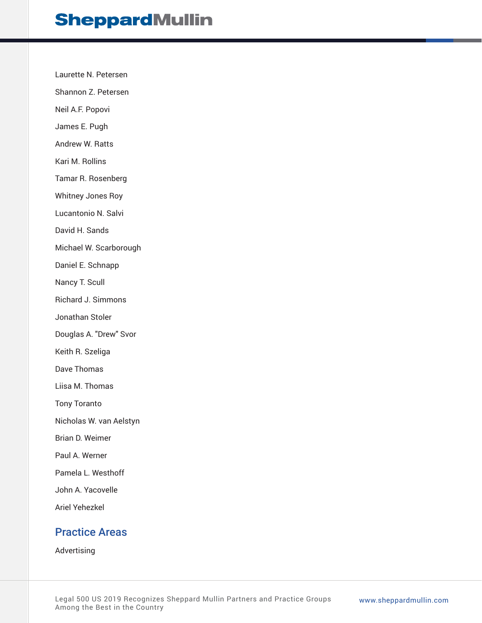Laurette N. Petersen

Shannon Z. Petersen

Neil A.F. Popovi

James E. Pugh

Andrew W. Ratts

Kari M. Rollins

Tamar R. Rosenberg

Whitney Jones Roy

Lucantonio N. Salvi

David H. Sands

Michael W. Scarborough

Daniel E. Schnapp

Nancy T. Scull

Richard J. Simmons

Jonathan Stoler

Douglas A. "Drew" Svor

Keith R. Szeliga

Dave Thomas

Liisa M. Thomas

Tony Toranto

Nicholas W. van Aelstyn

Brian D. Weimer

Paul A. Werner

Pamela L. Westhoff

John A. Yacovelle

Ariel Yehezkel

### Practice Areas

Advertising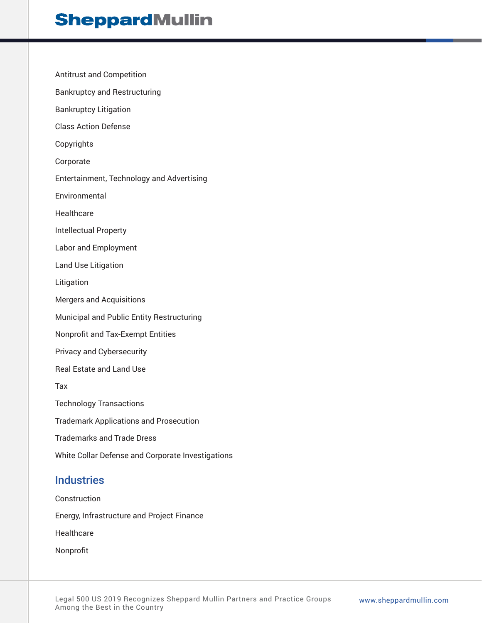Antitrust and Competition Bankruptcy and Restructuring Bankruptcy Litigation Class Action Defense Copyrights Corporate Entertainment, Technology and Advertising Environmental **Healthcare** Intellectual Property Labor and Employment Land Use Litigation Litigation Mergers and Acquisitions Municipal and Public Entity Restructuring Nonprofit and Tax-Exempt Entities Privacy and Cybersecurity Real Estate and Land Use Tax Technology Transactions Trademark Applications and Prosecution Trademarks and Trade Dress White Collar Defense and Corporate Investigations

### **Industries**

Construction Energy, Infrastructure and Project Finance **Healthcare** Nonprofit